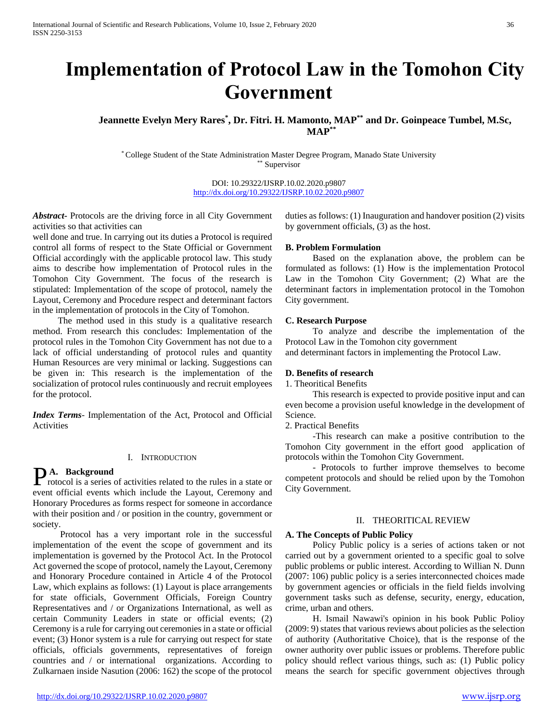# **Implementation of Protocol Law in the Tomohon City Government**

# **Jeannette Evelyn Mery Rares\* , Dr. Fitri. H. Mamonto, MAP\*\* and Dr. Goinpeace Tumbel, M.Sc, MAP\*\***

\* College Student of the State Administration Master Degree Program, Manado State University \*\* Supervisor

> DOI: 10.29322/IJSRP.10.02.2020.p9807 <http://dx.doi.org/10.29322/IJSRP.10.02.2020.p9807>

*Abstract***-** Protocols are the driving force in all City Government activities so that activities can

well done and true. In carrying out its duties a Protocol is required control all forms of respect to the State Official or Government Official accordingly with the applicable protocol law. This study aims to describe how implementation of Protocol rules in the Tomohon City Government. The focus of the research is stipulated: Implementation of the scope of protocol, namely the Layout, Ceremony and Procedure respect and determinant factors in the implementation of protocols in the City of Tomohon.

 The method used in this study is a qualitative research method. From research this concludes: Implementation of the protocol rules in the Tomohon City Government has not due to a lack of official understanding of protocol rules and quantity Human Resources are very minimal or lacking. Suggestions can be given in: This research is the implementation of the socialization of protocol rules continuously and recruit employees for the protocol.

*Index Terms*- Implementation of the Act, Protocol and Official Activities

## I. INTRODUCTION

# **A. Background**

**PA.** Background<br>rotocol is a series of activities related to the rules in a state or event official events which include the Layout, Ceremony and Honorary Procedures as forms respect for someone in accordance with their position and / or position in the country, government or society.

 Protocol has a very important role in the successful implementation of the event the scope of government and its implementation is governed by the Protocol Act. In the Protocol Act governed the scope of protocol, namely the Layout, Ceremony and Honorary Procedure contained in Article 4 of the Protocol Law, which explains as follows: (1) Layout is place arrangements for state officials, Government Officials, Foreign Country Representatives and / or Organizations International, as well as certain Community Leaders in state or official events; (2) Ceremony is a rule for carrying out ceremonies in a state or official event; (3) Honor system is a rule for carrying out respect for state officials, officials governments, representatives of foreign countries and / or international organizations. According to Zulkarnaen inside Nasution (2006: 162) the scope of the protocol

duties as follows: (1) Inauguration and handover position (2) visits by government officials, (3) as the host.

#### **B. Problem Formulation**

 Based on the explanation above, the problem can be formulated as follows: (1) How is the implementation Protocol Law in the Tomohon City Government; (2) What are the determinant factors in implementation protocol in the Tomohon City government.

#### **C. Research Purpose**

 To analyze and describe the implementation of the Protocol Law in the Tomohon city government

and determinant factors in implementing the Protocol Law.

#### **D. Benefits of research**

1. Theoritical Benefits

 This research is expected to provide positive input and can even become a provision useful knowledge in the development of Science.

2. Practical Benefits

 -This research can make a positive contribution to the Tomohon City government in the effort good application of protocols within the Tomohon City Government.

 - Protocols to further improve themselves to become competent protocols and should be relied upon by the Tomohon City Government.

## II. THEORITICAL REVIEW

#### **A. The Concepts of Public Policy**

 Policy Public policy is a series of actions taken or not carried out by a government oriented to a specific goal to solve public problems or public interest. According to Willian N. Dunn (2007: 106) public policy is a series interconnected choices made by government agencies or officials in the field fields involving government tasks such as defense, security, energy, education, crime, urban and others.

 H. Ismail Nawawi's opinion in his book Public Polioy (2009: 9) states that various reviews about policies as the selection of authority (Authoritative Choice), that is the response of the owner authority over public issues or problems. Therefore public policy should reflect various things, such as: (1) Public policy means the search for specific government objectives through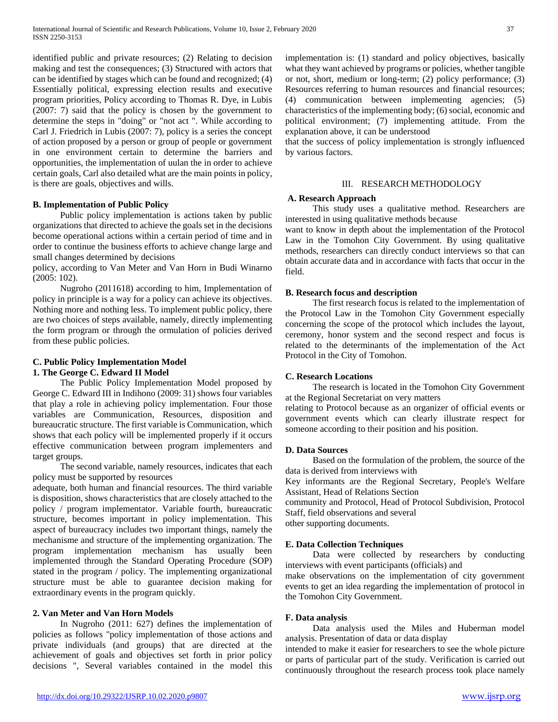identified public and private resources; (2) Relating to decision making and test the consequences; (3) Structured with actors that can be identified by stages which can be found and recognized; (4) Essentially political, expressing election results and executive program priorities, Policy according to Thomas R. Dye, in Lubis (2007: 7) said that the policy is chosen by the government to determine the steps in "doing" or "not act ". While according to Carl J. Friedrich in Lubis (2007: 7), policy is a series the concept of action proposed by a person or group of people or government in one environment certain to determine the barriers and opportunities, the implementation of uulan the in order to achieve certain goals, Carl also detailed what are the main points in policy, is there are goals, objectives and wills.

## **B. Implementation of Public Policy**

 Public policy implementation is actions taken by public organizations that directed to achieve the goals set in the decisions become operational actions within a certain period of time and in order to continue the business efforts to achieve change large and small changes determined by decisions

policy, according to Van Meter and Van Horn in Budi Winarno (2005: 102).

 Nugroho (2011618) according to him, Implementation of policy in principle is a way for a policy can achieve its objectives. Nothing more and nothing less. To implement public policy, there are two choices of steps available, namely, directly implementing the form program or through the ormulation of policies derived from these public policies.

# **C. Public Policy Implementation Model 1. The George C. Edward II Model**

 The Public Policy Implementation Model proposed by George C. Edward III in Indihono (2009: 31) shows four variables that play a role in achieving policy implementation. Four those variables are Communication, Resources, disposition and bureaucratic structure. The first variable is Communication, which shows that each policy will be implemented properly if it occurs effective communication between program implementers and target groups.

 The second variable, namely resources, indicates that each policy must be supported by resources

adequate, both human and financial resources. The third variable is disposition, shows characteristics that are closely attached to the policy / program implementator. Variable fourth, bureaucratic structure, becomes important in policy implementation. This aspect of bureaucracy includes two important things, namely the mechanisme and structure of the implementing organization. The program implementation mechanism has usually been implemented through the Standard Operating Procedure (SOP) stated in the program / policy. The implementing organizational structure must be able to guarantee decision making for extraordinary events in the program quickly.

## **2. Van Meter and Van Horn Models**

 In Nugroho (2011: 627) defines the implementation of policies as follows "policy implementation of those actions and private individuals (and groups) that are directed at the achievement of goals and objectives set forth in prior policy decisions ", Several variables contained in the model this

implementation is: (1) standard and policy objectives, basically what they want achieved by programs or policies, whether tangible or not, short, medium or long-term; (2) policy performance; (3) Resources referring to human resources and financial resources; (4) communication between implementing agencies; (5) characteristics of the implementing body; (6) social, economic and political environment; (7) implementing attitude. From the explanation above, it can be understood

that the success of policy implementation is strongly influenced by various factors.

# III. RESEARCH METHODOLOGY

#### **A. Research Approach**

 This study uses a qualitative method. Researchers are interested in using qualitative methods because

want to know in depth about the implementation of the Protocol Law in the Tomohon City Government. By using qualitative methods, researchers can directly conduct interviews so that can obtain accurate data and in accordance with facts that occur in the field.

#### **B. Research focus and description**

 The first research focus is related to the implementation of the Protocol Law in the Tomohon City Government especially concerning the scope of the protocol which includes the layout, ceremony, honor system and the second respect and focus is related to the determinants of the implementation of the Act Protocol in the City of Tomohon.

## **C. Research Locations**

 The research is located in the Tomohon City Government at the Regional Secretariat on very matters

relating to Protocol because as an organizer of official events or government events which can clearly illustrate respect for someone according to their position and his position.

## **D. Data Sources**

 Based on the formulation of the problem, the source of the data is derived from interviews with

Key informants are the Regional Secretary, People's Welfare Assistant, Head of Relations Section

community and Protocol, Head of Protocol Subdivision, Protocol Staff, field observations and several

other supporting documents.

#### **E. Data Collection Techniques**

 Data were collected by researchers by conducting interviews with event participants (officials) and

make observations on the implementation of city government events to get an idea regarding the implementation of protocol in the Tomohon City Government.

#### **F. Data analysis**

 Data analysis used the Miles and Huberman model analysis. Presentation of data or data display

intended to make it easier for researchers to see the whole picture or parts of particular part of the study. Verification is carried out continuously throughout the research process took place namely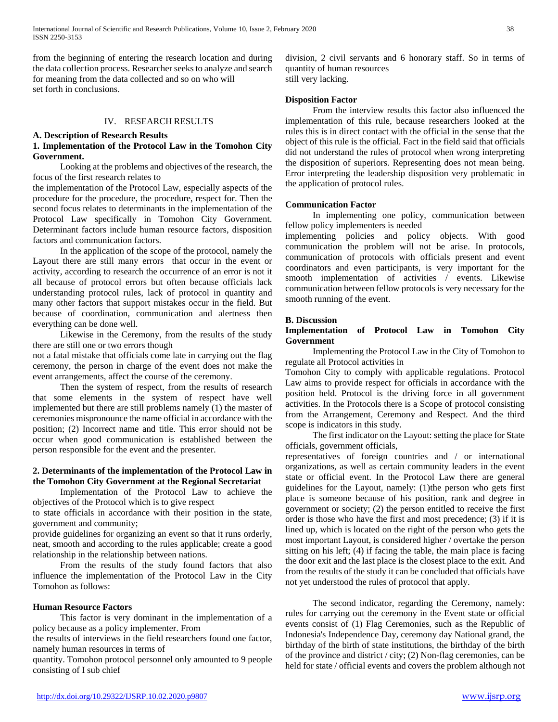from the beginning of entering the research location and during the data collection process. Researcher seeks to analyze and search for meaning from the data collected and so on who will set forth in conclusions.

## IV. RESEARCH RESULTS

## **A. Description of Research Results 1. Implementation of the Protocol Law in the Tomohon City Government.**

 Looking at the problems and objectives of the research, the focus of the first research relates to

the implementation of the Protocol Law, especially aspects of the procedure for the procedure, the procedure, respect for. Then the second focus relates to determinants in the implementation of the Protocol Law specifically in Tomohon City Government. Determinant factors include human resource factors, disposition factors and communication factors.

 In the application of the scope of the protocol, namely the Layout there are still many errors that occur in the event or activity, according to research the occurrence of an error is not it all because of protocol errors but often because officials lack understanding protocol rules, lack of protocol in quantity and many other factors that support mistakes occur in the field. But because of coordination, communication and alertness then everything can be done well.

 Likewise in the Ceremony, from the results of the study there are still one or two errors though

not a fatal mistake that officials come late in carrying out the flag ceremony, the person in charge of the event does not make the event arrangements, affect the course of the ceremony.

 Then the system of respect, from the results of research that some elements in the system of respect have well implemented but there are still problems namely (1) the master of ceremonies mispronounce the name official in accordance with the position; (2) Incorrect name and title. This error should not be occur when good communication is established between the person responsible for the event and the presenter.

# **2. Determinants of the implementation of the Protocol Law in the Tomohon City Government at the Regional Secretariat**

 Implementation of the Protocol Law to achieve the objectives of the Protocol which is to give respect

to state officials in accordance with their position in the state, government and community;

provide guidelines for organizing an event so that it runs orderly, neat, smooth and according to the rules applicable; create a good relationship in the relationship between nations.

 From the results of the study found factors that also influence the implementation of the Protocol Law in the City Tomohon as follows:

## **Human Resource Factors**

 This factor is very dominant in the implementation of a policy because as a policy implementer. From

the results of interviews in the field researchers found one factor, namely human resources in terms of

quantity. Tomohon protocol personnel only amounted to 9 people consisting of I sub chief

division, 2 civil servants and 6 honorary staff. So in terms of quantity of human resources still very lacking.

## **Disposition Factor**

 From the interview results this factor also influenced the implementation of this rule, because researchers looked at the rules this is in direct contact with the official in the sense that the object of this rule is the official. Fact in the field said that officials did not understand the rules of protocol when wrong interpreting the disposition of superiors. Representing does not mean being. Error interpreting the leadership disposition very problematic in the application of protocol rules.

#### **Communication Factor**

 In implementing one policy, communication between fellow policy implementers is needed

implementing policies and policy objects. With good communication the problem will not be arise. In protocols, communication of protocols with officials present and event coordinators and even participants, is very important for the smooth implementation of activities / events. Likewise communication between fellow protocols is very necessary for the smooth running of the event.

## **B. Discussion**

# **Implementation of Protocol Law in Tomohon City Government**

 Implementing the Protocol Law in the City of Tomohon to regulate all Protocol activities in

Tomohon City to comply with applicable regulations. Protocol Law aims to provide respect for officials in accordance with the position held. Protocol is the driving force in all government activities. In the Protocols there is a Scope of protocol consisting from the Arrangement, Ceremony and Respect. And the third scope is indicators in this study.

 The first indicator on the Layout: setting the place for State officials, government officials,

representatives of foreign countries and / or international organizations, as well as certain community leaders in the event state or official event. In the Protocol Law there are general guidelines for the Layout, namely: (1)the person who gets first place is someone because of his position, rank and degree in government or society; (2) the person entitled to receive the first order is those who have the first and most precedence; (3) if it is lined up, which is located on the right of the person who gets the most important Layout, is considered higher / overtake the person sitting on his left; (4) if facing the table, the main place is facing the door exit and the last place is the closest place to the exit. And from the results of the study it can be concluded that officials have not yet understood the rules of protocol that apply.

 The second indicator, regarding the Ceremony, namely: rules for carrying out the ceremony in the Event state or official events consist of (1) Flag Ceremonies, such as the Republic of Indonesia's Independence Day, ceremony day National grand, the birthday of the birth of state institutions, the birthday of the birth of the province and district / city; (2) Non-flag ceremonies, can be held for state / official events and covers the problem although not